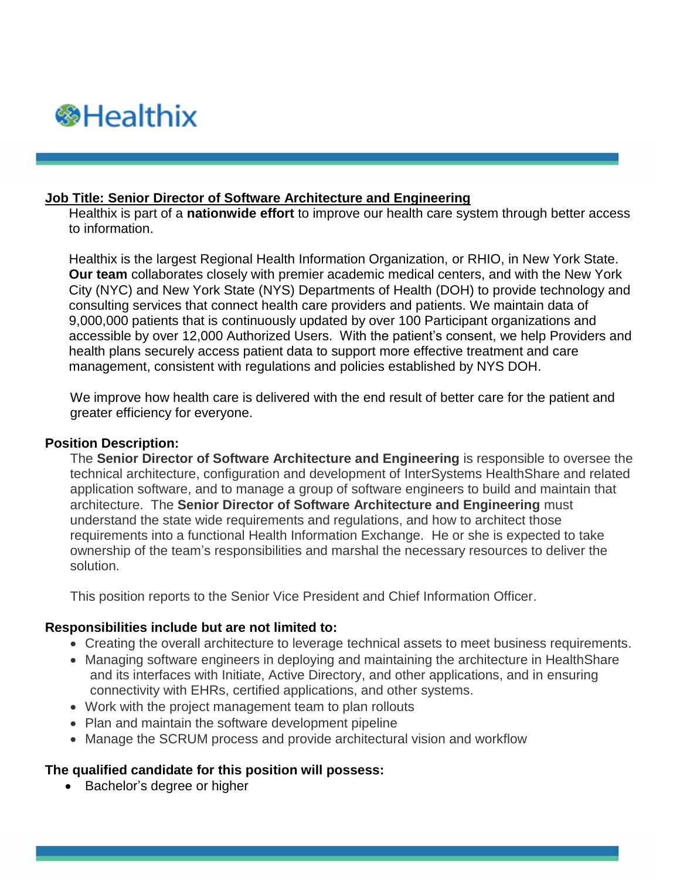

## **Job Title: Senior Director of Software Architecture and Engineering**

Healthix is part of a **[nationwide effort](https://services.lipixportal.org/HealthixPortal/AboutUs/Background)** to improve our health care system through better access to information.

Healthix is the largest Regional Health Information Organization, or RHIO, in New York State. **[Our team](https://services.lipixportal.org/HealthixPortal/AboutUs/ManagementAndGovernance)** collaborates closely with premier academic medical centers, and with the New York City (NYC) and New York State (NYS) Departments of Health (DOH) to provide technology and consulting services that connect health care providers and patients. We maintain data of 9,000,000 patients that is continuously updated by over 100 Participant organizations and accessible by over 12,000 Authorized Users. With the patient's consent, we help Providers and health plans securely access patient data to support more effective treatment and care management, consistent with regulations and policies established by NYS DOH.

We improve how health care is delivered with the end result of better care for the patient and greater efficiency for everyone.

## **Position Description:**

The **Senior Director of Software Architecture and Engineering** is responsible to oversee the technical architecture, configuration and development of InterSystems HealthShare and related application software, and to manage a group of software engineers to build and maintain that architecture. The **Senior Director of Software Architecture and Engineering** must understand the state wide requirements and regulations, and how to architect those requirements into a functional Health Information Exchange. He or she is expected to take ownership of the team's responsibilities and marshal the necessary resources to deliver the solution.

This position reports to the Senior Vice President and Chief Information Officer.

## **Responsibilities include but are not limited to:**

- Creating the overall architecture to leverage technical assets to meet business requirements.
- Managing software engineers in deploying and maintaining the architecture in HealthShare and its interfaces with Initiate, Active Directory, and other applications, and in ensuring connectivity with EHRs, certified applications, and other systems.
- Work with the project management team to plan rollouts
- Plan and maintain the software development pipeline
- Manage the SCRUM process and provide architectural vision and workflow

## **The qualified candidate for this position will possess:**

• Bachelor's degree or higher